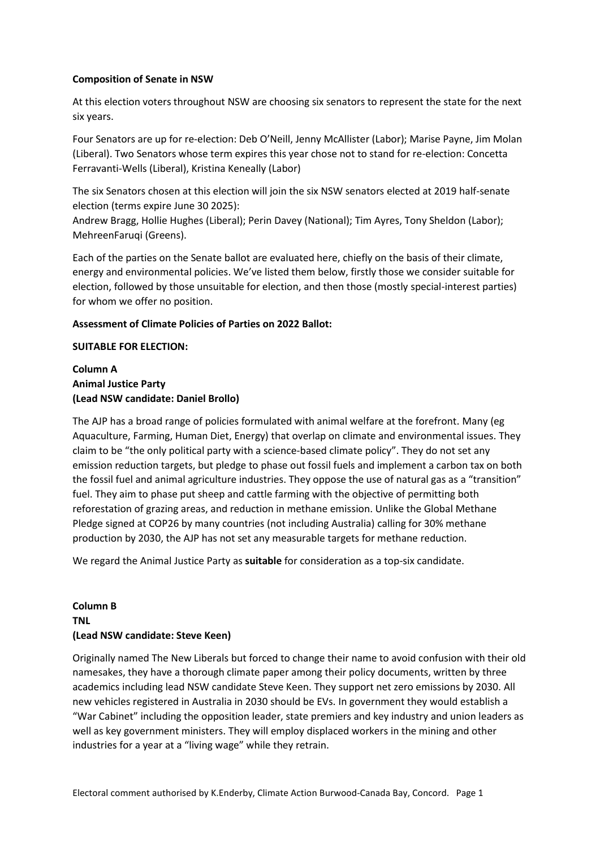#### **Composition of Senate in NSW**

At this election voters throughout NSW are choosing six senators to represent the state for the next six years.

Four Senators are up for re-election: Deb O'Neill, Jenny McAllister (Labor); Marise Payne, Jim Molan (Liberal). Two Senators whose term expires this year chose not to stand for re-election: Concetta Ferravanti-Wells (Liberal), Kristina Keneally (Labor)

The six Senators chosen at this election will join the six NSW senators elected at 2019 half-senate election (terms expire June 30 2025):

Andrew Bragg, Hollie Hughes (Liberal); Perin Davey (National); Tim Ayres, Tony Sheldon (Labor); MehreenFaruqi (Greens).

Each of the parties on the Senate ballot are evaluated here, chiefly on the basis of their climate, energy and environmental policies. We've listed them below, firstly those we consider suitable for election, followed by those unsuitable for election, and then those (mostly special-interest parties) for whom we offer no position.

#### **Assessment of Climate Policies of Parties on 2022 Ballot:**

#### **SUITABLE FOR ELECTION:**

### **Column A Animal Justice Party (Lead NSW candidate: Daniel Brollo)**

The AJP has a broad range of policies formulated with animal welfare at the forefront. Many (eg Aquaculture, Farming, Human Diet, Energy) that overlap on climate and environmental issues. They claim to be "the only political party with a science-based climate policy". They do not set any emission reduction targets, but pledge to phase out fossil fuels and implement a carbon tax on both the fossil fuel and animal agriculture industries. They oppose the use of natural gas as a "transition" fuel. They aim to phase put sheep and cattle farming with the objective of permitting both reforestation of grazing areas, and reduction in methane emission. Unlike the Global Methane Pledge signed at COP26 by many countries (not including Australia) calling for 30% methane production by 2030, the AJP has not set any measurable targets for methane reduction.

We regard the Animal Justice Party as **suitable** for consideration as a top-six candidate.

# **Column B TNL (Lead NSW candidate: Steve Keen)**

Originally named The New Liberals but forced to change their name to avoid confusion with their old namesakes, they have a thorough climate paper among their policy documents, written by three academics including lead NSW candidate Steve Keen. They support net zero emissions by 2030. All new vehicles registered in Australia in 2030 should be EVs. In government they would establish a "War Cabinet" including the opposition leader, state premiers and key industry and union leaders as well as key government ministers. They will employ displaced workers in the mining and other industries for a year at a "living wage" while they retrain.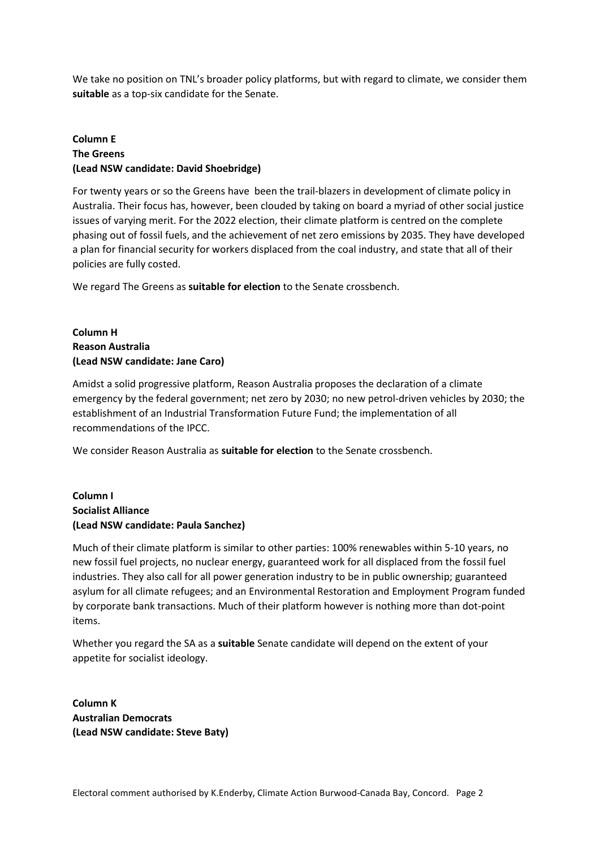We take no position on TNL's broader policy platforms, but with regard to climate, we consider them **suitable** as a top-six candidate for the Senate.

## **Column E The Greens (Lead NSW candidate: David Shoebridge)**

For twenty years or so the Greens have been the trail-blazers in development of climate policy in Australia. Their focus has, however, been clouded by taking on board a myriad of other social justice issues of varying merit. For the 2022 election, their climate platform is centred on the complete phasing out of fossil fuels, and the achievement of net zero emissions by 2035. They have developed a plan for financial security for workers displaced from the coal industry, and state that all of their policies are fully costed.

We regard The Greens as **suitable for election** to the Senate crossbench.

## **Column H Reason Australia (Lead NSW candidate: Jane Caro)**

Amidst a solid progressive platform, Reason Australia proposes the declaration of a climate emergency by the federal government; net zero by 2030; no new petrol-driven vehicles by 2030; the establishment of an Industrial Transformation Future Fund; the implementation of all recommendations of the IPCC.

We consider Reason Australia as **suitable for election** to the Senate crossbench.

## **Column I Socialist Alliance (Lead NSW candidate: Paula Sanchez)**

Much of their climate platform is similar to other parties: 100% renewables within 5-10 years, no new fossil fuel projects, no nuclear energy, guaranteed work for all displaced from the fossil fuel industries. They also call for all power generation industry to be in public ownership; guaranteed asylum for all climate refugees; and an Environmental Restoration and Employment Program funded by corporate bank transactions. Much of their platform however is nothing more than dot-point items.

Whether you regard the SA as a **suitable** Senate candidate will depend on the extent of your appetite for socialist ideology.

**Column K Australian Democrats (Lead NSW candidate: Steve Baty)**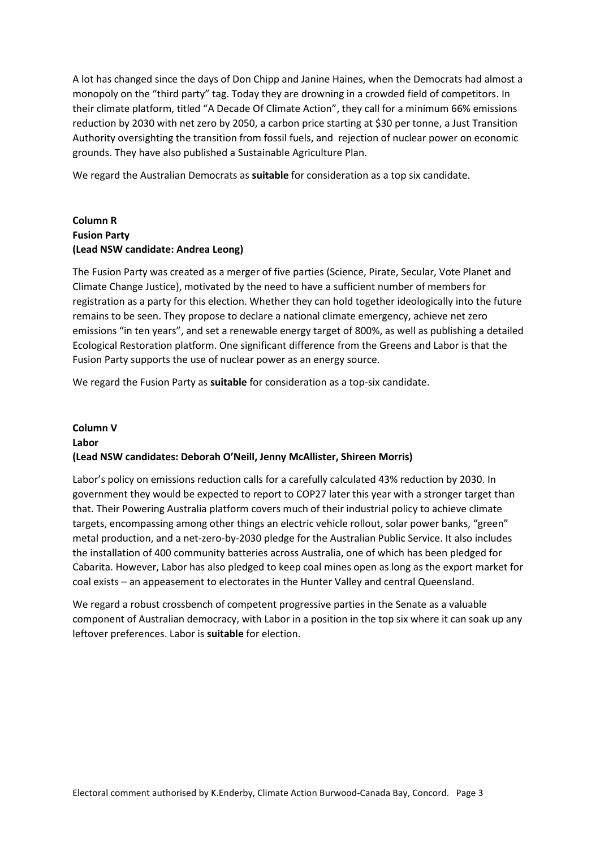A lot has changed since the days of Don Chipp and Janine Haines, when the Democrats had almost a monopoly on the "third party" tag. Today they are drowning in a crowded field of competitors. In their climate platform, titled "A Decade Of Climate Action", they call for a minimum 66% emissions reduction by 2030 with net zero by 2050, a carbon price starting at \$30 per tonne, a Just Transition Authority oversighting the transition from fossil fuels, and rejection of nuclear power on economic grounds. They have also published a Sustainable Agriculture Plan.

We regard the Australian Democrats as **suitable** for consideration as a top six candidate.

## **Column R Fusion Party (Lead NSW candidate: Andrea Leong)**

The Fusion Party was created as a merger of five parties (Science, Pirate, Secular, Vote Planet and Climate Change Justice), motivated by the need to have a sufficient number of members for registration as a party for this election. Whether they can hold together ideologically into the future remains to be seen. They propose to declare a national climate emergency, achieve net zero emissions "in ten years", and set a renewable energy target of 800%, as well as publishing a detailed Ecological Restoration platform. One significant difference from the Greens and Labor is that the Fusion Party supports the use of nuclear power as an energy source.

We regard the Fusion Party as **suitable** for consideration as a top-six candidate.

# **Column V Labor (Lead NSW candidates: Deborah O'Neill, Jenny McAllister, Shireen Morris)**

Labor's policy on emissions reduction calls for a carefully calculated 43% reduction by 2030. In government they would be expected to report to COP27 later this year with a stronger target than that. Their Powering Australia platform covers much of their industrial policy to achieve climate targets, encompassing among other things an electric vehicle rollout, solar power banks, "green" metal production, and a net-zero-by-2030 pledge for the Australian Public Service. It also includes the installation of 400 community batteries across Australia, one of which has been pledged for Cabarita. However, Labor has also pledged to keep coal mines open as long as the export market for coal exists – an appeasement to electorates in the Hunter Valley and central Queensland.

We regard a robust crossbench of competent progressive parties in the Senate as a valuable component of Australian democracy, with Labor in a position in the top six where it can soak up any leftover preferences. Labor is **suitable** for election.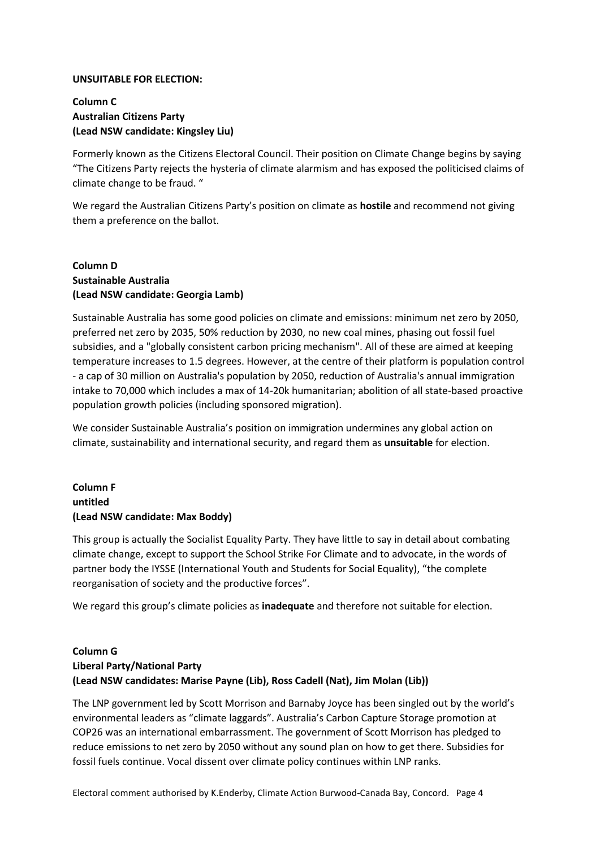#### **UNSUITABLE FOR ELECTION:**

## **Column C Australian Citizens Party (Lead NSW candidate: Kingsley Liu)**

Formerly known as the Citizens Electoral Council. Their position on Climate Change begins by saying "The Citizens Party rejects the hysteria of climate alarmism and has exposed the politicised claims of climate change to be fraud. "

We regard the Australian Citizens Party's position on climate as **hostile** and recommend not giving them a preference on the ballot.

#### **Column D Sustainable Australia (Lead NSW candidate: Georgia Lamb)**

Sustainable Australia has some good policies on climate and emissions: minimum net zero by 2050, preferred net zero by 2035, 50% reduction by 2030, no new coal mines, phasing out fossil fuel subsidies, and a "globally consistent carbon pricing mechanism". All of these are aimed at keeping temperature increases to 1.5 degrees. However, at the centre of their platform is population control - a cap of 30 million on Australia's population by 2050, reduction of Australia's annual immigration intake to 70,000 which includes a max of 14-20k humanitarian; abolition of all state-based proactive population growth policies (including sponsored migration).

We consider Sustainable Australia's position on immigration undermines any global action on climate, sustainability and international security, and regard them as **unsuitable** for election.

## **Column F untitled (Lead NSW candidate: Max Boddy)**

This group is actually the Socialist Equality Party. They have little to say in detail about combating climate change, except to support the School Strike For Climate and to advocate, in the words of partner body the IYSSE (International Youth and Students for Social Equality), "the complete reorganisation of society and the productive forces".

We regard this group's climate policies as **inadequate** and therefore not suitable for election.

### **Column G Liberal Party/National Party (Lead NSW candidates: Marise Payne (Lib), Ross Cadell (Nat), Jim Molan (Lib))**

The LNP government led by Scott Morrison and Barnaby Joyce has been singled out by the world's environmental leaders as "climate laggards". Australia's Carbon Capture Storage promotion at COP26 was an international embarrassment. The government of Scott Morrison has pledged to reduce emissions to net zero by 2050 without any sound plan on how to get there. Subsidies for fossil fuels continue. Vocal dissent over climate policy continues within LNP ranks.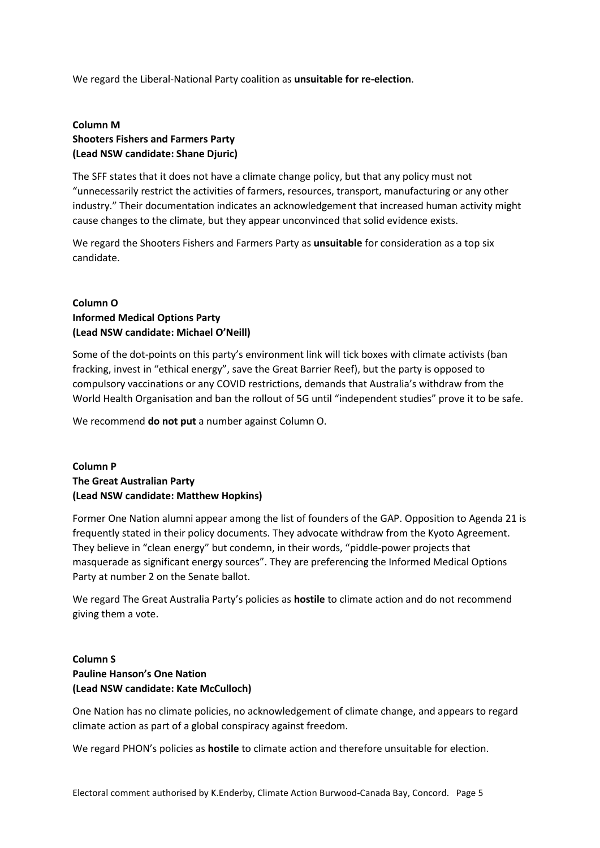We regard the Liberal-National Party coalition as **unsuitable for re-election**.

### **Column M Shooters Fishers and Farmers Party (Lead NSW candidate: Shane Djuric)**

The SFF states that it does not have a climate change policy, but that any policy must not "unnecessarily restrict the activities of farmers, resources, transport, manufacturing or any other industry." Their documentation indicates an acknowledgement that increased human activity might cause changes to the climate, but they appear unconvinced that solid evidence exists.

We regard the Shooters Fishers and Farmers Party as **unsuitable** for consideration as a top six candidate.

## **Column O Informed Medical Options Party (Lead NSW candidate: Michael O'Neill)**

Some of the dot-points on this party's environment link will tick boxes with climate activists (ban fracking, invest in "ethical energy", save the Great Barrier Reef), but the party is opposed to compulsory vaccinations or any COVID restrictions, demands that Australia's withdraw from the World Health Organisation and ban the rollout of 5G until "independent studies" prove it to be safe.

We recommend **do not put** a number against Column O.

## **Column P The Great Australian Party (Lead NSW candidate: Matthew Hopkins)**

Former One Nation alumni appear among the list of founders of the GAP. Opposition to Agenda 21 is frequently stated in their policy documents. They advocate withdraw from the Kyoto Agreement. They believe in "clean energy" but condemn, in their words, "piddle-power projects that masquerade as significant energy sources". They are preferencing the Informed Medical Options Party at number 2 on the Senate ballot.

We regard The Great Australia Party's policies as **hostile** to climate action and do not recommend giving them a vote.

## **Column S Pauline Hanson's One Nation (Lead NSW candidate: Kate McCulloch)**

One Nation has no climate policies, no acknowledgement of climate change, and appears to regard climate action as part of a global conspiracy against freedom.

We regard PHON's policies as **hostile** to climate action and therefore unsuitable for election.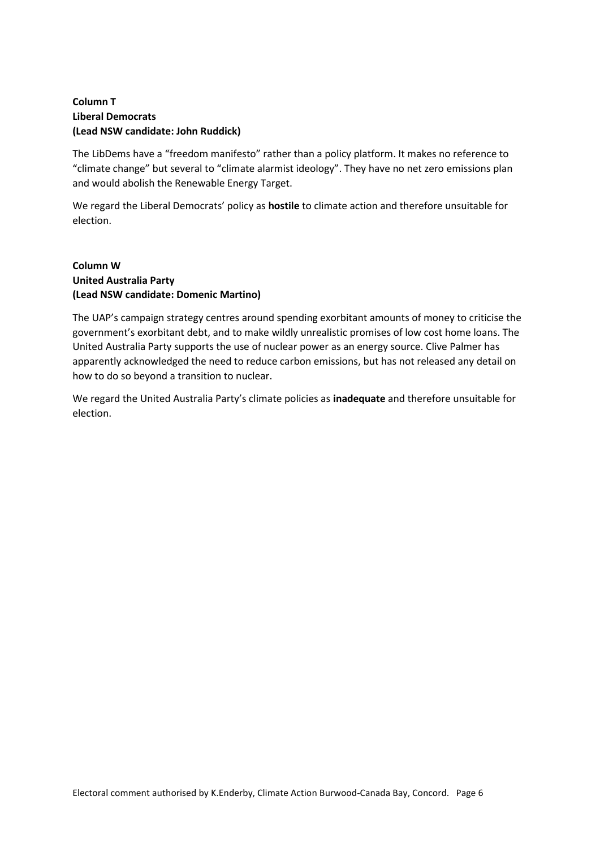## **Column T Liberal Democrats (Lead NSW candidate: John Ruddick)**

The LibDems have a "freedom manifesto" rather than a policy platform. It makes no reference to "climate change" but several to "climate alarmist ideology". They have no net zero emissions plan and would abolish the Renewable Energy Target.

We regard the Liberal Democrats' policy as **hostile** to climate action and therefore unsuitable for election.

#### **Column W United Australia Party (Lead NSW candidate: Domenic Martino)**

The UAP's campaign strategy centres around spending exorbitant amounts of money to criticise the government's exorbitant debt, and to make wildly unrealistic promises of low cost home loans. The United Australia Party supports the use of nuclear power as an energy source. Clive Palmer has apparently acknowledged the need to reduce carbon emissions, but has not released any detail on how to do so beyond a transition to nuclear.

We regard the United Australia Party's climate policies as **inadequate** and therefore unsuitable for election.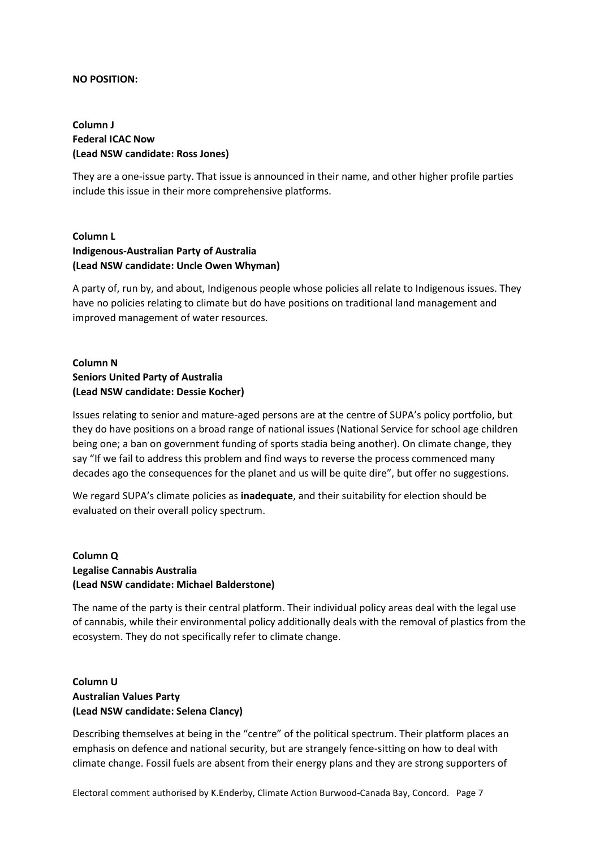#### **NO POSITION:**

## **Column J Federal ICAC Now (Lead NSW candidate: Ross Jones)**

They are a one-issue party. That issue is announced in their name, and other higher profile parties include this issue in their more comprehensive platforms.

## **Column L Indigenous-Australian Party of Australia (Lead NSW candidate: Uncle Owen Whyman)**

A party of, run by, and about, Indigenous people whose policies all relate to Indigenous issues. They have no policies relating to climate but do have positions on traditional land management and improved management of water resources.

## **Column N Seniors United Party of Australia (Lead NSW candidate: Dessie Kocher)**

Issues relating to senior and mature-aged persons are at the centre of SUPA's policy portfolio, but they do have positions on a broad range of national issues (National Service for school age children being one; a ban on government funding of sports stadia being another). On climate change, they say "If we fail to address this problem and find ways to reverse the process commenced many decades ago the consequences for the planet and us will be quite dire", but offer no suggestions.

We regard SUPA's climate policies as **inadequate**, and their suitability for election should be evaluated on their overall policy spectrum.

## **Column Q Legalise Cannabis Australia (Lead NSW candidate: Michael Balderstone)**

The name of the party is their central platform. Their individual policy areas deal with the legal use of cannabis, while their environmental policy additionally deals with the removal of plastics from the ecosystem. They do not specifically refer to climate change.

## **Column U Australian Values Party (Lead NSW candidate: Selena Clancy)**

Describing themselves at being in the "centre" of the political spectrum. Their platform places an emphasis on defence and national security, but are strangely fence-sitting on how to deal with climate change. Fossil fuels are absent from their energy plans and they are strong supporters of